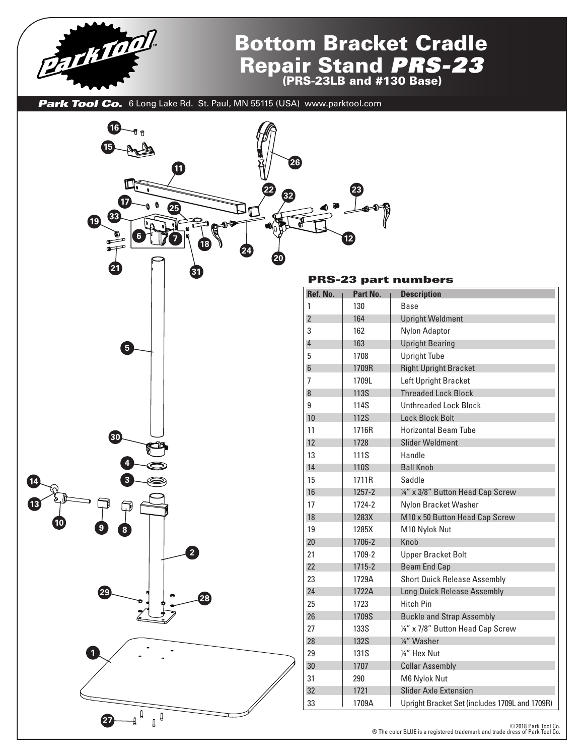

## Bottom Bracket Cradle Repair Stand *PRS-23* (PRS-23LB and #130 Base)

Park Tool Co. 6 Long Lake Rd. St. Paul, MN 55115 (USA) www.parktool.com